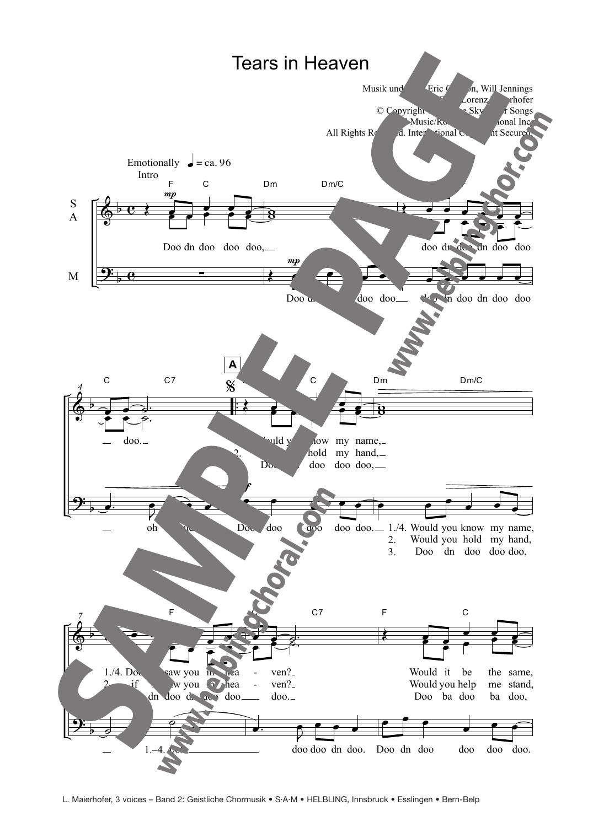

L. Maierhofer, 3 voices – Band 2: Geistliche Chormusik • S·A·M • HELBLING, Innsbruck • Esslingen • Bern-Belp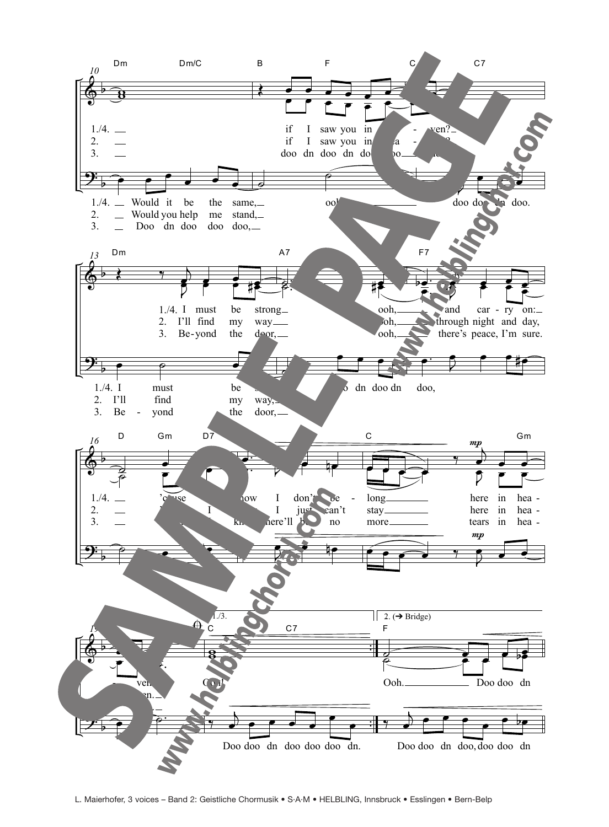